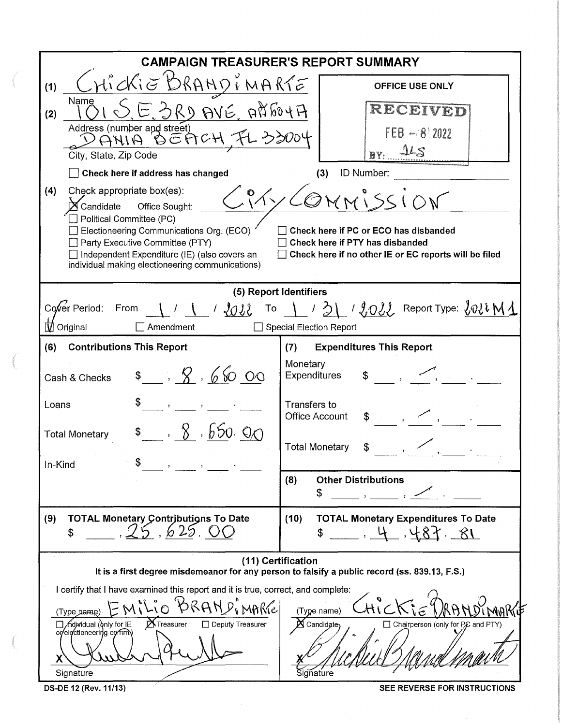|                                                                                                                                                                                                                                                                                                 | <b>CAMPAIGN TREASURER'S REPORT SUMMARY</b>                                                                                                                        |  |  |  |  |
|-------------------------------------------------------------------------------------------------------------------------------------------------------------------------------------------------------------------------------------------------------------------------------------------------|-------------------------------------------------------------------------------------------------------------------------------------------------------------------|--|--|--|--|
| HICKIE BRAHDIMARTE<br>(1)                                                                                                                                                                                                                                                                       | <b>OFFICE USE ONLY</b>                                                                                                                                            |  |  |  |  |
| Name<br>E. GRD AVE. AREOYA<br>(2)<br>Address (number and street)                                                                                                                                                                                                                                | RECEIVED                                                                                                                                                          |  |  |  |  |
| 0 EACH FL 33004<br>ANIA<br>City, State, Zip Code                                                                                                                                                                                                                                                | $FEB - 8/2022$<br>BY: 445                                                                                                                                         |  |  |  |  |
| Check here if address has changed                                                                                                                                                                                                                                                               | ID Number:<br>(3)                                                                                                                                                 |  |  |  |  |
| Check appropriate box(es):<br>(4)<br>${\bm{\times}}$ Candidate<br>Office Sought:<br>Political Committee (PC)<br>Electioneering Communications Org. (ECO)<br>Party Executive Committee (PTY)<br>Independent Expenditure (IE) (also covers an<br>individual making electioneering communications) | $\langle\, {\cal O} \rangle$<br>Check here if PC or ECO has disbanded<br>Check here if PTY has disbanded<br>Check here if no other IE or EC reports will be filed |  |  |  |  |
|                                                                                                                                                                                                                                                                                                 | (5) Report Identifiers                                                                                                                                            |  |  |  |  |
| Cover Period:<br>From<br>$\bigcup$ / $\bigcup_{i=1}^{n}$<br>To the set<br><b><i>∐</i></b> Original<br>Amendment                                                                                                                                                                                 | 131 / 2022 Report Type: 2022M1<br>Special Election Report                                                                                                         |  |  |  |  |
| (6)<br><b>Contributions This Report</b>                                                                                                                                                                                                                                                         | <b>Expenditures This Report</b><br>(7)                                                                                                                            |  |  |  |  |
| $\frac{1}{2}$ , 8,650 00<br>Cash & Checks                                                                                                                                                                                                                                                       | Monetary<br>Expenditures<br>\$                                                                                                                                    |  |  |  |  |
| Loans                                                                                                                                                                                                                                                                                           | Transfers to<br><b>Office Account</b><br>\$                                                                                                                       |  |  |  |  |
| 8, 8, 650, 90<br><b>Total Monetary</b><br>In-Kind                                                                                                                                                                                                                                               | <b>Total Monetary</b><br>\$                                                                                                                                       |  |  |  |  |
|                                                                                                                                                                                                                                                                                                 | <b>Other Distributions</b><br>(8)<br>S                                                                                                                            |  |  |  |  |
| <b>TOTAL Monetary Contributions To Date</b><br>(9)<br>\$                                                                                                                                                                                                                                        | (10)<br><b>TOTAL Monetary Expenditures To Date</b><br>$18 - 584.4$                                                                                                |  |  |  |  |
|                                                                                                                                                                                                                                                                                                 | (11) Certification<br>It is a first degree misdemeanor for any person to falsify a public record (ss. 839.13, F.S.)                                               |  |  |  |  |
| I certify that I have examined this report and it is true, correct, and complete:                                                                                                                                                                                                               |                                                                                                                                                                   |  |  |  |  |
| (Type pame                                                                                                                                                                                                                                                                                      | (Type name)                                                                                                                                                       |  |  |  |  |
| <b>X</b> Treasurer<br>Midividual (only for IE<br>□ Deputy Treasurer<br>or/electioneering commy<br>X                                                                                                                                                                                             | X Candidate<br>□ Chairperson (only for PC and PTY)                                                                                                                |  |  |  |  |
| Signature                                                                                                                                                                                                                                                                                       | Signature                                                                                                                                                         |  |  |  |  |
| DS-DE 12 (Rev. 11/13)                                                                                                                                                                                                                                                                           | SEE REVERSE FOR INSTRUCTIONS                                                                                                                                      |  |  |  |  |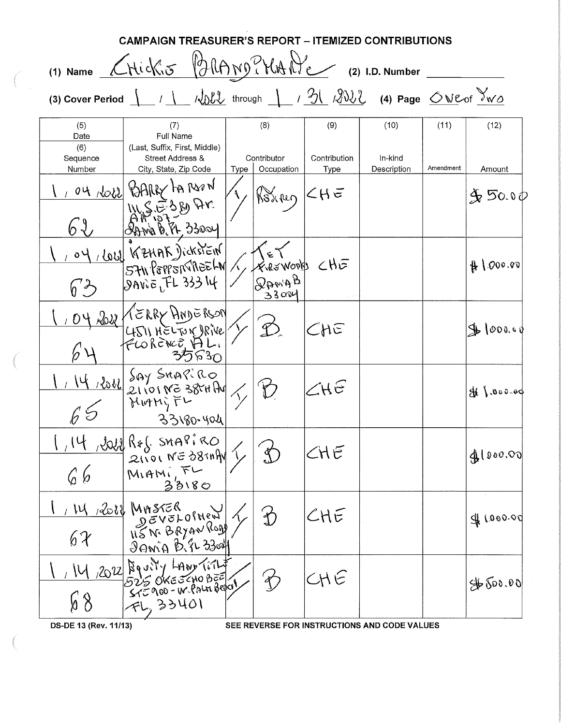|                           | <b>CAMPAIGN TREASURER'S REPORT - ITEMIZED CONTRIBUTIONS</b>                |                                   |                                |                                              |                                                |           |               |
|---------------------------|----------------------------------------------------------------------------|-----------------------------------|--------------------------------|----------------------------------------------|------------------------------------------------|-----------|---------------|
|                           | (1) Name CHickis BRAND? HANE                                               |                                   |                                |                                              | (2) I.D. Number                                |           |               |
| (3) Cover Period          |                                                                            |                                   |                                |                                              | 1 Wall through 1 1 20 1202 (4) Page ONE of IWO |           |               |
| (5)<br>Date               | (7)<br>Full Name                                                           |                                   | (8)                            | (9)                                          | (10)                                           | (11)      | (12)          |
| (6)<br>Sequence<br>Number | (Last, Suffix, First, Middle)<br>Street Address &<br>City, State, Zip Code | Contributor<br>Occupation<br>Type |                                | Contribution<br>Type                         | In-kind<br>Description                         | Amendment | Amount        |
|                           | OU ROLL BARRY FAR DOON<br>ILSE389 Ar<br>$20004$ (1) $8.8004$               |                                   | $\frac{1}{\sqrt{2}}$           |                                              |                                                |           | 9,50.00       |
|                           | 04/601 KZHAK Jickstein<br><b>DAVIE, FL 33314</b>                           |                                   | FREWORKS CHE<br>BAMAB<br>33004 |                                              |                                                |           | #1000.00      |
|                           | ROU KERRY ANDERSON<br>4511 HELTON DRIVE                                    |                                   |                                | CHE                                          |                                                |           | $9 - 1000.00$ |
|                           | Bul Say SHAPIRO<br>33180-404                                               |                                   |                                | ZHE                                          |                                                |           | 48.000.00     |
| 66                        | $\frac{1.14.3008Rf. SMPP1RO}{G6$ MIAMITL<br>るるいの                           |                                   | $\bigcirc$                     | CHE                                          |                                                |           | 4100000       |
| 67                        | W 2012 MASTER<br>DEVELOINEN<br>20mig Bir 3304                              |                                   |                                | $\mathcal{L} \mathsf{H} \tilde{\mathcal{E}}$ |                                                |           | 9100000       |
|                           | 2022 Bouily LAND TITLE<br>FL, 33401                                        |                                   |                                | CHE                                          |                                                |           | 4500.00       |
| DS-DE 13 (Rev. 11/13)     |                                                                            |                                   |                                |                                              | SEE REVERSE FOR INSTRUCTIONS AND CODE VALUES   |           |               |